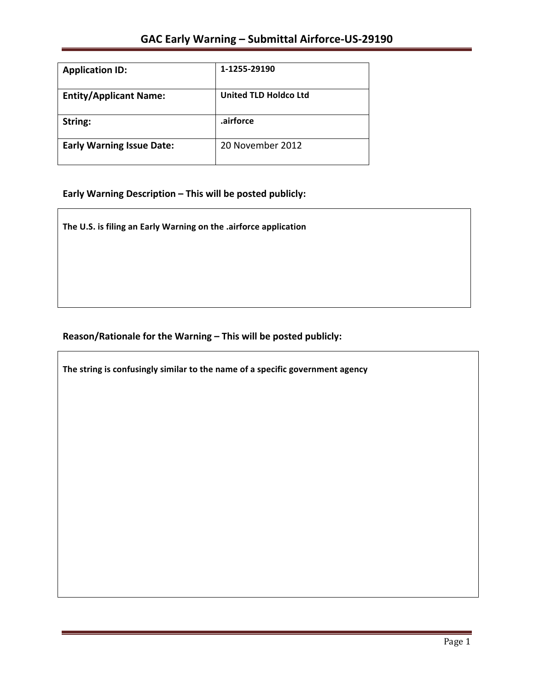| <b>Application ID:</b>           | 1-1255-29190                 |
|----------------------------------|------------------------------|
| <b>Entity/Applicant Name:</b>    | <b>United TLD Holdco Ltd</b> |
| String:                          | .airforce                    |
| <b>Early Warning Issue Date:</b> | 20 November 2012             |

# Early Warning Description - This will be posted publicly:

The U.S. is filing an Early Warning on the .airforce application

## Reason/Rationale for the Warning - This will be posted publicly:

The string is confusingly similar to the name of a specific government agency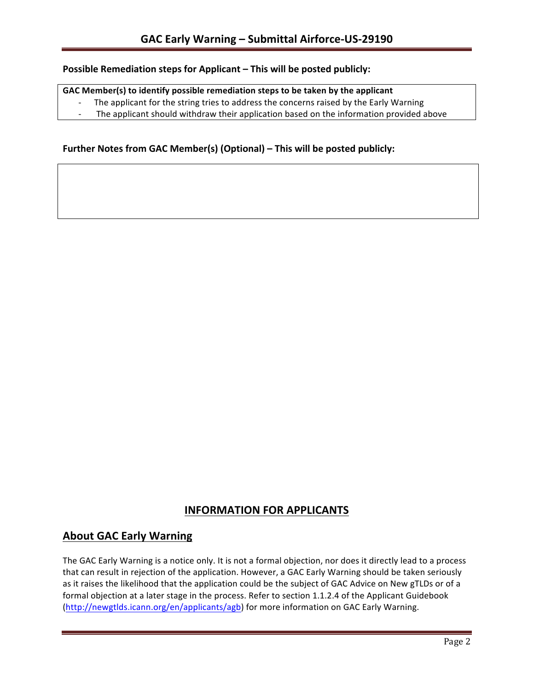#### **Possible Remediation steps for Applicant – This will be posted publicly:**

#### GAC Member(s) to identify possible remediation steps to be taken by the applicant

- The applicant for the string tries to address the concerns raised by the Early Warning
- The applicant should withdraw their application based on the information provided above

### **Further Notes from GAC Member(s) (Optional) – This will be posted publicly:**

## **INFORMATION FOR APPLICANTS**

## **About GAC Early Warning**

The GAC Early Warning is a notice only. It is not a formal objection, nor does it directly lead to a process that can result in rejection of the application. However, a GAC Early Warning should be taken seriously as it raises the likelihood that the application could be the subject of GAC Advice on New gTLDs or of a formal objection at a later stage in the process. Refer to section 1.1.2.4 of the Applicant Guidebook (http://newgtlds.icann.org/en/applicants/agb) for more information on GAC Early Warning.